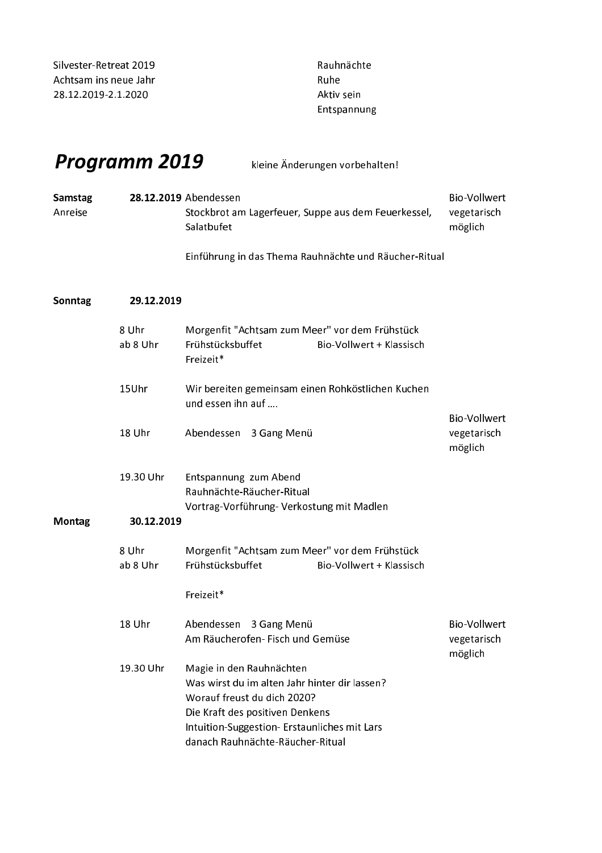| Silvester-Retreat 2019 |
|------------------------|
| Achtsam ins neue Jahr  |
| 28.12.2019-2.1.2020    |

Rauhnächte Ruhe Aktiv sein Entspannung

## Programm 2019

kleine Änderungen vorbehalten!

| <b>Samstag</b> | 28.12.2019 Abendessen                               | - Bio-Vollwert |
|----------------|-----------------------------------------------------|----------------|
| Anreise        | Stockbrot am Lagerfeuer, Suppe aus dem Feuerkessel, | vegetarisch    |
|                | Salatbufet                                          | möglich        |

Einführung in das Thema Rauhnächte und Räucher-Ritual

| Sonntag       | 29.12.2019        |                                                                                                                                                                                                                                 |                                               |
|---------------|-------------------|---------------------------------------------------------------------------------------------------------------------------------------------------------------------------------------------------------------------------------|-----------------------------------------------|
|               | 8 Uhr<br>ab 8 Uhr | Morgenfit "Achtsam zum Meer" vor dem Frühstück<br>Frühstücksbuffet<br>Bio-Vollwert + Klassisch<br>Freizeit*                                                                                                                     |                                               |
|               | 15Uhr             | Wir bereiten gemeinsam einen Rohköstlichen Kuchen<br>und essen ihn auf                                                                                                                                                          |                                               |
|               | 18 Uhr            | Abendessen 3 Gang Menü                                                                                                                                                                                                          | <b>Bio-Vollwert</b><br>vegetarisch<br>möglich |
|               | 19.30 Uhr         | Entspannung zum Abend<br>Rauhnächte-Räucher-Ritual<br>Vortrag-Vorführung-Verkostung mit Madlen                                                                                                                                  |                                               |
| <b>Montag</b> | 30.12.2019        |                                                                                                                                                                                                                                 |                                               |
|               | 8 Uhr<br>ab 8 Uhr | Morgenfit "Achtsam zum Meer" vor dem Frühstück<br>Frühstücksbuffet<br>Bio-Vollwert + Klassisch                                                                                                                                  |                                               |
|               |                   | Freizeit*                                                                                                                                                                                                                       |                                               |
|               | 18 Uhr            | Abendessen 3 Gang Menü<br>Am Räucherofen- Fisch und Gemüse                                                                                                                                                                      | <b>Bio-Vollwert</b><br>vegetarisch<br>möglich |
|               | 19.30 Uhr         | Magie in den Rauhnächten<br>Was wirst du im alten Jahr hinter dir lassen?<br>Worauf freust du dich 2020?<br>Die Kraft des positiven Denkens<br>Intuition-Suggestion- Erstaunliches mit Lars<br>danach Rauhnächte-Räucher-Ritual |                                               |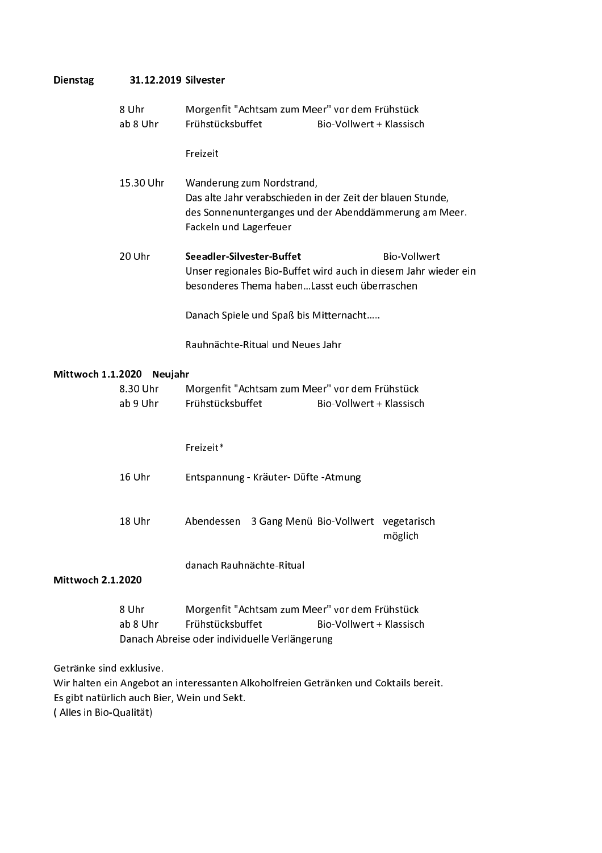## 31.12.2019 Silvester Dienstag

|                              | 8 Uhr<br>ab 8 Uhr                           | Morgenfit "Achtsam zum Meer" vor dem Frühstück<br>Frühstücksbuffet<br>Bio-Vollwert + Klassisch                                                                             |  |  |
|------------------------------|---------------------------------------------|----------------------------------------------------------------------------------------------------------------------------------------------------------------------------|--|--|
|                              |                                             | Freizeit                                                                                                                                                                   |  |  |
|                              | 15.30 Uhr                                   | Wanderung zum Nordstrand,<br>Das alte Jahr verabschieden in der Zeit der blauen Stunde,<br>des Sonnenunterganges und der Abenddämmerung am Meer.<br>Fackeln und Lagerfeuer |  |  |
|                              | 20 Uhr                                      | Seeadler-Silvester-Buffet<br><b>Bio-Vollwert</b><br>Unser regionales Bio-Buffet wird auch in diesem Jahr wieder ein<br>besonderes Thema habenLasst euch überraschen        |  |  |
|                              |                                             | Danach Spiele und Spaß bis Mitternacht                                                                                                                                     |  |  |
|                              |                                             | Rauhnächte-Ritual und Neues Jahr                                                                                                                                           |  |  |
| Mittwoch 1.1.2020<br>Neujahr |                                             |                                                                                                                                                                            |  |  |
|                              | 8.30 Uhr<br>ab 9 Uhr                        | Morgenfit "Achtsam zum Meer" vor dem Frühstück<br>Frühstücksbuffet<br>Bio-Vollwert + Klassisch                                                                             |  |  |
|                              |                                             | Freizeit*                                                                                                                                                                  |  |  |
|                              | 16 Uhr                                      | Entspannung - Kräuter- Düfte - Atmung                                                                                                                                      |  |  |
|                              | 18 Uhr                                      | Abendessen 3 Gang Menü Bio-Vollwert vegetarisch<br>möglich                                                                                                                 |  |  |
| <b>Mittwoch 2.1.2020</b>     |                                             | danach Rauhnächte-Ritual                                                                                                                                                   |  |  |
|                              | 8 Uhr<br>ab 8 Uhr                           | Morgenfit "Achtsam zum Meer" vor dem Frühstück<br>Frühstücksbuffet<br>Bio-Vollwert + Klassisch<br>Danach Abreise oder individuelle Verlängerung                            |  |  |
| Getränke sind exklusive.     | Es gibt natürlich auch Bier, Wein und Sekt. | Wir halten ein Angebot an interessanten Alkoholfreien Getränken und Coktails bereit.                                                                                       |  |  |

(Alles in Bio-Qualität)